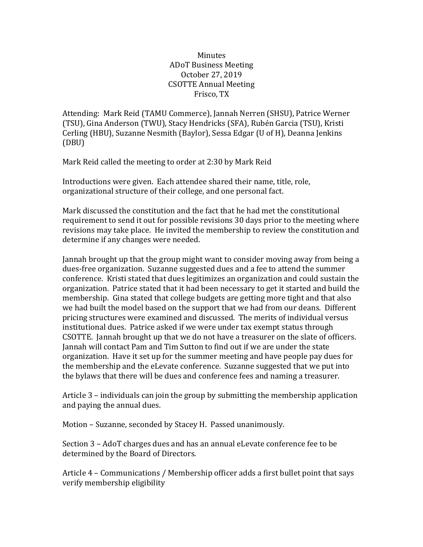## **Minutes** ADoT Business Meeting October 27, 2019 **CSOTTE Annual Meeting** Frisco, TX

Attending: Mark Reid (TAMU Commerce), Jannah Nerren (SHSU), Patrice Werner (TSU), Gina Anderson (TWU), Stacy Hendricks (SFA), Rubén Garcia (TSU), Kristi Cerling (HBU), Suzanne Nesmith (Baylor), Sessa Edgar (U of H), Deanna Jenkins (DBU)

Mark Reid called the meeting to order at 2:30 by Mark Reid

Introductions were given. Each attendee shared their name, title, role, organizational structure of their college, and one personal fact.

Mark discussed the constitution and the fact that he had met the constitutional requirement to send it out for possible revisions 30 days prior to the meeting where revisions may take place. He invited the membership to review the constitution and determine if any changes were needed.

Jannah brought up that the group might want to consider moving away from being a dues-free organization. Suzanne suggested dues and a fee to attend the summer conference. Kristi stated that dues legitimizes an organization and could sustain the organization. Patrice stated that it had been necessary to get it started and build the membership. Gina stated that college budgets are getting more tight and that also we had built the model based on the support that we had from our deans. Different pricing structures were examined and discussed. The merits of individual versus institutional dues. Patrice asked if we were under tax exempt status through CSOTTE. Jannah brought up that we do not have a treasurer on the slate of officers. Jannah will contact Pam and Tim Sutton to find out if we are under the state organization. Have it set up for the summer meeting and have people pay dues for the membership and the eLevate conference. Suzanne suggested that we put into the bylaws that there will be dues and conference fees and naming a treasurer.

Article  $3$  – individuals can join the group by submitting the membership application and paying the annual dues.

Motion - Suzanne, seconded by Stacey H. Passed unanimously.

Section 3 - AdoT charges dues and has an annual eLevate conference fee to be determined by the Board of Directors.

Article 4 - Communications / Membership officer adds a first bullet point that says verify membership eligibility